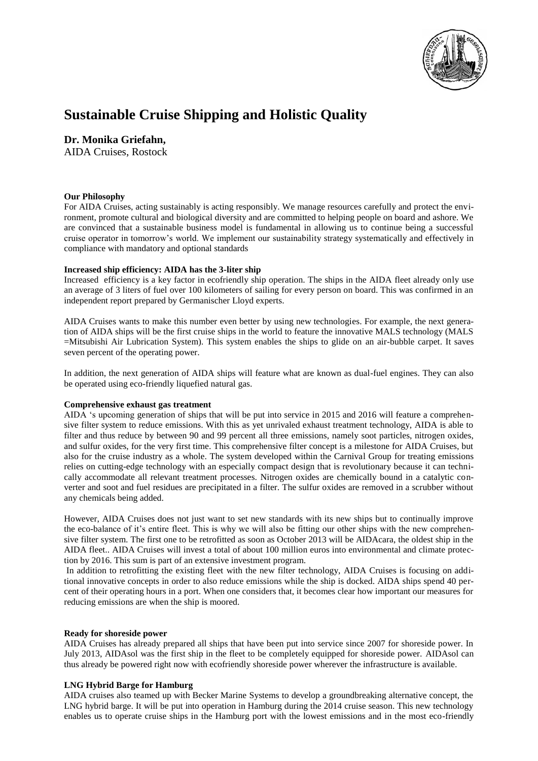

# **Sustainable Cruise Shipping and Holistic Quality**

# **Dr. Monika Griefahn,**

AIDA Cruises, Rostock

# **Our Philosophy**

For AIDA Cruises, acting sustainably is acting responsibly. We manage resources carefully and protect the environment, promote cultural and biological diversity and are committed to helping people on board and ashore. We are convinced that a sustainable business model is fundamental in allowing us to continue being a successful cruise operator in tomorrow's world. We implement our sustainability strategy systematically and effectively in compliance with mandatory and optional standards

# **Increased ship efficiency: AIDA has the 3-liter ship**

Increased efficiency is a key factor in ecofriendly ship operation. The ships in the AIDA fleet already only use an average of 3 liters of fuel over 100 kilometers of sailing for every person on board. This was confirmed in an independent report prepared by Germanischer Lloyd experts.

AIDA Cruises wants to make this number even better by using new technologies. For example, the next generation of AIDA ships will be the first cruise ships in the world to feature the innovative MALS technology (MALS =Mitsubishi Air Lubrication System). This system enables the ships to glide on an air-bubble carpet. It saves seven percent of the operating power.

In addition, the next generation of AIDA ships will feature what are known as dual-fuel engines. They can also be operated using eco-friendly liquefied natural gas.

# **Comprehensive exhaust gas treatment**

AIDA 's upcoming generation of ships that will be put into service in 2015 and 2016 will feature a comprehensive filter system to reduce emissions. With this as yet unrivaled exhaust treatment technology, AIDA is able to filter and thus reduce by between 90 and 99 percent all three emissions, namely soot particles, nitrogen oxides, and sulfur oxides, for the very first time. This comprehensive filter concept is a milestone for AIDA Cruises, but also for the cruise industry as a whole. The system developed within the Carnival Group for treating emissions relies on cutting-edge technology with an especially compact design that is revolutionary because it can technically accommodate all relevant treatment processes. Nitrogen oxides are chemically bound in a catalytic converter and soot and fuel residues are precipitated in a filter. The sulfur oxides are removed in a scrubber without any chemicals being added.

However, AIDA Cruises does not just want to set new standards with its new ships but to continually improve the eco-balance of it's entire fleet. This is why we will also be fitting our other ships with the new comprehensive filter system. The first one to be retrofitted as soon as October 2013 will be AIDAcara, the oldest ship in the AIDA fleet.. AIDA Cruises will invest a total of about 100 million euros into environmental and climate protection by 2016. This sum is part of an extensive investment program.

In addition to retrofitting the existing fleet with the new filter technology, AIDA Cruises is focusing on additional innovative concepts in order to also reduce emissions while the ship is docked. AIDA ships spend 40 percent of their operating hours in a port. When one considers that, it becomes clear how important our measures for reducing emissions are when the ship is moored.

#### **Ready for shoreside power**

AIDA Cruises has already prepared all ships that have been put into service since 2007 for shoreside power. In July 2013, AIDAsol was the first ship in the fleet to be completely equipped for shoreside power. AIDAsol can thus already be powered right now with ecofriendly shoreside power wherever the infrastructure is available.

# **LNG Hybrid Barge for Hamburg**

AIDA cruises also teamed up with Becker Marine Systems to develop a groundbreaking alternative concept, the LNG hybrid barge. It will be put into operation in Hamburg during the 2014 cruise season. This new technology enables us to operate cruise ships in the Hamburg port with the lowest emissions and in the most eco-friendly